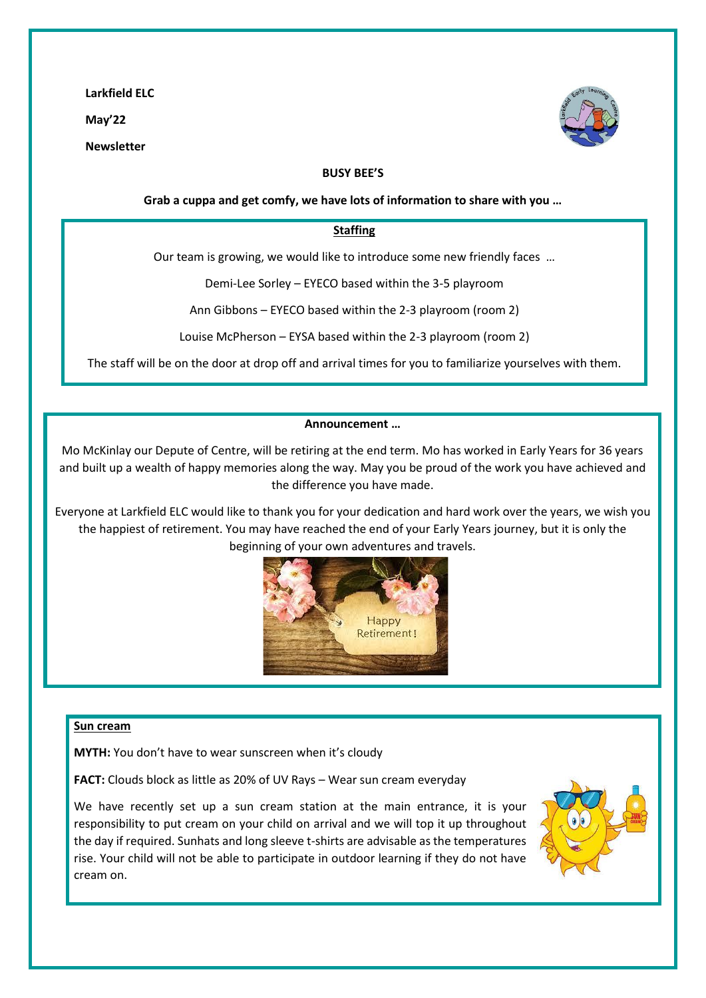**Larkfield ELC** 

**May'22** 

**Newsletter** 



### **BUSY BEE'S**

**Grab a cuppa and get comfy, we have lots of information to share with you …**

### **Staffing**

Our team is growing, we would like to introduce some new friendly faces …

Demi-Lee Sorley – EYECO based within the 3-5 playroom

Ann Gibbons – EYECO based within the 2-3 playroom (room 2)

Louise McPherson – EYSA based within the 2-3 playroom (room 2)

The staff will be on the door at drop off and arrival times for you to familiarize yourselves with them.

### **Announcement …**

Mo McKinlay our Depute of Centre, will be retiring at the end term. Mo has worked in Early Years for 36 years and built up a wealth of happy memories along the way. May you be proud of the work you have achieved and the difference you have made.

Everyone at Larkfield ELC would like to thank you for your dedication and hard work over the years, we wish you the happiest of retirement. You may have reached the end of your Early Years journey, but it is only the beginning of your own adventures and travels.



### **Sun cream**

**MYTH:** You don't have to wear sunscreen when it's cloudy

**FACT:** Clouds block as little as 20% of UV Rays – Wear sun cream everyday

We have recently set up a sun cream station at the main entrance, it is your responsibility to put cream on your child on arrival and we will top it up throughout the day if required. Sunhats and long sleeve t-shirts are advisable as the temperatures rise. Your child will not be able to participate in outdoor learning if they do not have cream on.

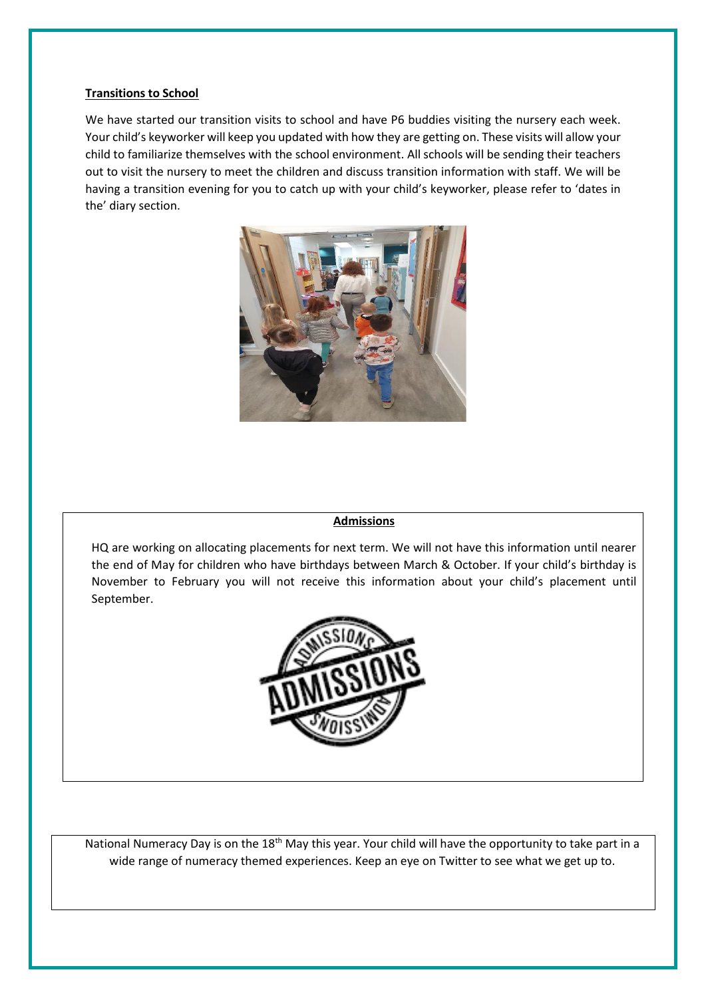### **Transitions to School**

We have started our transition visits to school and have P6 buddies visiting the nursery each week. Your child's keyworker will keep you updated with how they are getting on. These visits will allow your child to familiarize themselves with the school environment. All schools will be sending their teachers out to visit the nursery to meet the children and discuss transition information with staff. We will be having a transition evening for you to catch up with your child's keyworker, please refer to 'dates in the' diary section.



# **Admissions**

HQ are working on allocating placements for next term. We will not have this information until nearer the end of May for children who have birthdays between March & October. If your child's birthday is November to February you will not receive this information about your child's placement until September.



National Numeracy Day is on the 18<sup>th</sup> May this year. Your child will have the opportunity to take part in a wide range of numeracy themed experiences. Keep an eye on Twitter to see what we get up to.